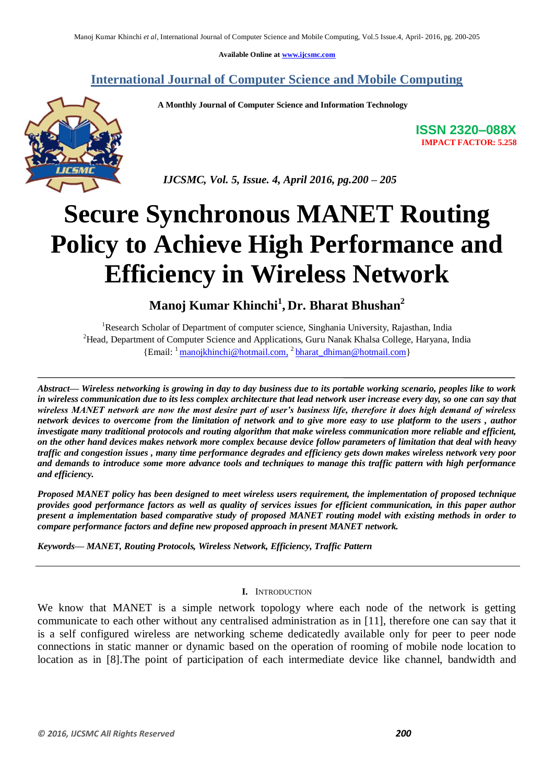**Available Online at [www.ijcsmc.com](http://www.ijcsmc.com/)**

# **International Journal of Computer Science and Mobile Computing**

 **A Monthly Journal of Computer Science and Information Technology**



**ISSN 2320–088X IMPACT FACTOR: 5.258**

 *IJCSMC, Vol. 5, Issue. 4, April 2016, pg.200 – 205*

# **Secure Synchronous MANET Routing Policy to Achieve High Performance and Efficiency in Wireless Network**

**Manoj Kumar Khinchi<sup>1</sup> , Dr. Bharat Bhushan<sup>2</sup>**

<sup>1</sup>Research Scholar of Department of computer science, Singhania University, Rajasthan, India <sup>2</sup>Head, Department of Computer Science and Applications, Guru Nanak Khalsa College, Haryana, India {Email: <sup>1</sup> [manojkhinchi@hotmail.com,](mailto:manojkhinchi@hotmail.com) <sup>2</sup> [bharat\\_dhiman@hotmail.com}](mailto:bharat_dhiman@hotmail.com)

*Abstract— Wireless networking is growing in day to day business due to its portable working scenario, peoples like to work in wireless communication due to its less complex architecture that lead network user increase every day, so one can say that wireless MANET network are now the most desire part of user's business life, therefore it does high demand of wireless network devices to overcome from the limitation of network and to give more easy to use platform to the users , author investigate many traditional protocols and routing algorithm that make wireless communication more reliable and efficient, on the other hand devices makes network more complex because device follow parameters of limitation that deal with heavy traffic and congestion issues , many time performance degrades and efficiency gets down makes wireless network very poor and demands to introduce some more advance tools and techniques to manage this traffic pattern with high performance and efficiency.*

*Proposed MANET policy has been designed to meet wireless users requirement, the implementation of proposed technique provides good performance factors as well as quality of services issues for efficient communication, in this paper author present a implementation based comparative study of proposed MANET routing model with existing methods in order to compare performance factors and define new proposed approach in present MANET network.*

*Keywords— MANET, Routing Protocols, Wireless Network, Efficiency, Traffic Pattern*

## **I.** INTRODUCTION

We know that MANET is a simple network topology where each node of the network is getting communicate to each other without any centralised administration as in [11], therefore one can say that it is a self configured wireless are networking scheme dedicatedly available only for peer to peer node connections in static manner or dynamic based on the operation of rooming of mobile node location to location as in [8].The point of participation of each intermediate device like channel, bandwidth and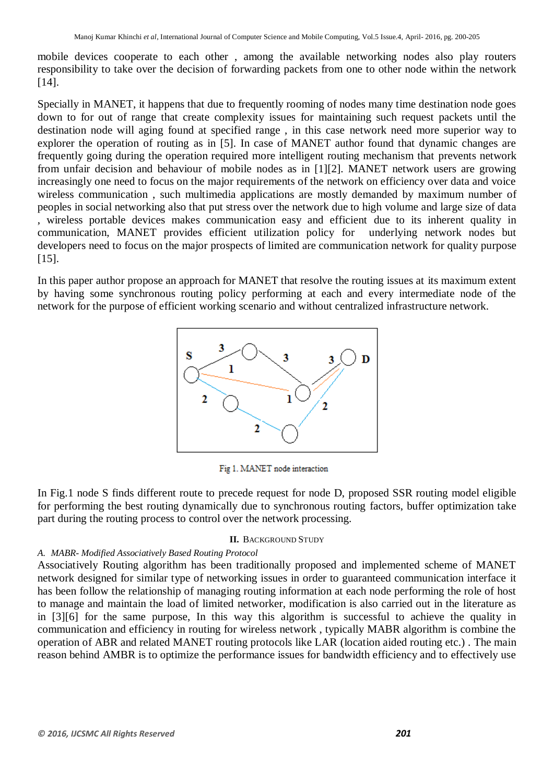mobile devices cooperate to each other , among the available networking nodes also play routers responsibility to take over the decision of forwarding packets from one to other node within the network [14].

Specially in MANET, it happens that due to frequently rooming of nodes many time destination node goes down to for out of range that create complexity issues for maintaining such request packets until the destination node will aging found at specified range , in this case network need more superior way to explorer the operation of routing as in [5]. In case of MANET author found that dynamic changes are frequently going during the operation required more intelligent routing mechanism that prevents network from unfair decision and behaviour of mobile nodes as in [1][2]. MANET network users are growing increasingly one need to focus on the major requirements of the network on efficiency over data and voice wireless communication , such multimedia applications are mostly demanded by maximum number of peoples in social networking also that put stress over the network due to high volume and large size of data , wireless portable devices makes communication easy and efficient due to its inherent quality in communication, MANET provides efficient utilization policy for underlying network nodes but developers need to focus on the major prospects of limited are communication network for quality purpose [15].

In this paper author propose an approach for MANET that resolve the routing issues at its maximum extent by having some synchronous routing policy performing at each and every intermediate node of the network for the purpose of efficient working scenario and without centralized infrastructure network.



Fig 1. MANET node interaction

In Fig.1 node S finds different route to precede request for node D, proposed SSR routing model eligible for performing the best routing dynamically due to synchronous routing factors, buffer optimization take part during the routing process to control over the network processing.

## **II.** BACKGROUND STUDY

## *A. MABR- Modified Associatively Based Routing Protocol*

Associatively Routing algorithm has been traditionally proposed and implemented scheme of MANET network designed for similar type of networking issues in order to guaranteed communication interface it has been follow the relationship of managing routing information at each node performing the role of host to manage and maintain the load of limited networker, modification is also carried out in the literature as in [3][6] for the same purpose, In this way this algorithm is successful to achieve the quality in communication and efficiency in routing for wireless network , typically MABR algorithm is combine the operation of ABR and related MANET routing protocols like LAR (location aided routing etc.) . The main reason behind AMBR is to optimize the performance issues for bandwidth efficiency and to effectively use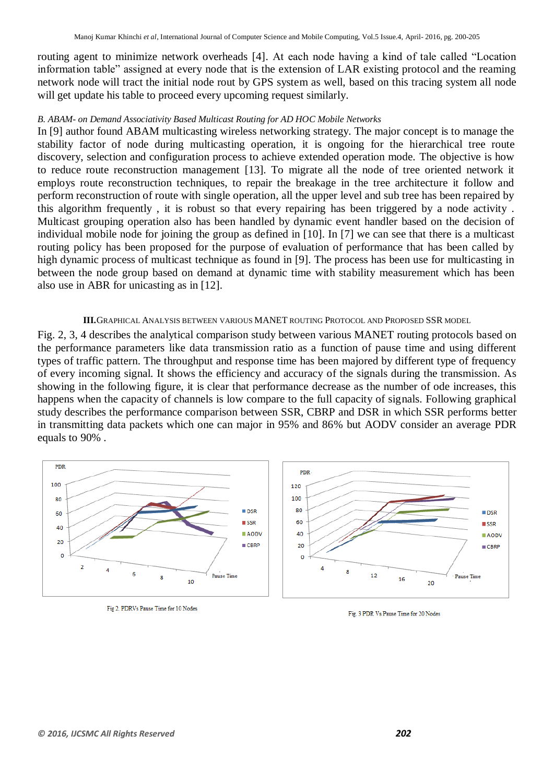routing agent to minimize network overheads [4]. At each node having a kind of tale called "Location information table" assigned at every node that is the extension of LAR existing protocol and the reaming network node will tract the initial node rout by GPS system as well, based on this tracing system all node will get update his table to proceed every upcoming request similarly.

## *B. ABAM- on Demand Associativity Based Multicast Routing for AD HOC Mobile Networks*

In [9] author found ABAM multicasting wireless networking strategy. The major concept is to manage the stability factor of node during multicasting operation, it is ongoing for the hierarchical tree route discovery, selection and configuration process to achieve extended operation mode. The objective is how to reduce route reconstruction management [13]. To migrate all the node of tree oriented network it employs route reconstruction techniques, to repair the breakage in the tree architecture it follow and perform reconstruction of route with single operation, all the upper level and sub tree has been repaired by this algorithm frequently , it is robust so that every repairing has been triggered by a node activity . Multicast grouping operation also has been handled by dynamic event handler based on the decision of individual mobile node for joining the group as defined in [10]. In [7] we can see that there is a multicast routing policy has been proposed for the purpose of evaluation of performance that has been called by high dynamic process of multicast technique as found in [9]. The process has been use for multicasting in between the node group based on demand at dynamic time with stability measurement which has been also use in ABR for unicasting as in [12].

### **III.**GRAPHICAL ANALYSIS BETWEEN VARIOUS MANET ROUTING PROTOCOL AND PROPOSED SSR MODEL

Fig. 2, 3, 4 describes the analytical comparison study between various MANET routing protocols based on the performance parameters like data transmission ratio as a function of pause time and using different types of traffic pattern. The throughput and response time has been majored by different type of frequency of every incoming signal. It shows the efficiency and accuracy of the signals during the transmission. As showing in the following figure, it is clear that performance decrease as the number of ode increases, this happens when the capacity of channels is low compare to the full capacity of signals. Following graphical study describes the performance comparison between SSR, CBRP and DSR in which SSR performs better in transmitting data packets which one can major in 95% and 86% but AODV consider an average PDR equals to 90% .



Fig 2. PDRVs Pause Time for 10 Nodes

Fig. 3 PDR Vs Pause Time for 20 Nodes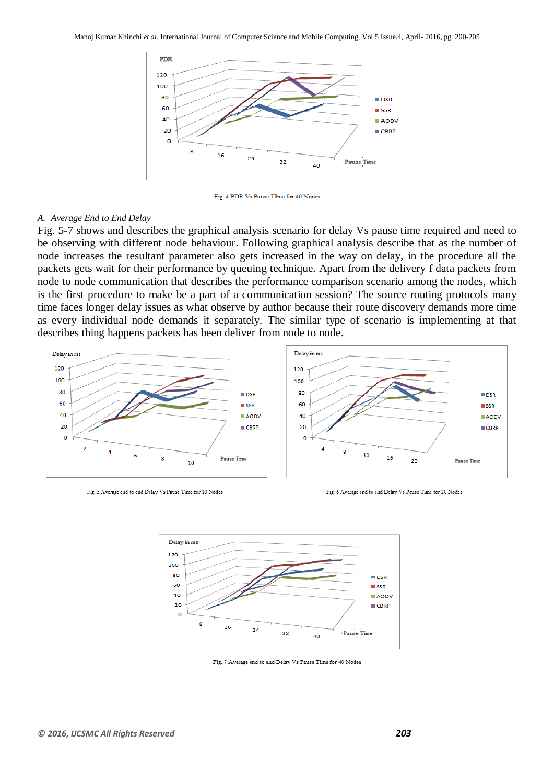

Fig. 4 PDR Vs Pause TIme for 40 Nodes

#### *A. Average End to End Delay*

Fig. 5-7 shows and describes the graphical analysis scenario for delay Vs pause time required and need to be observing with different node behaviour. Following graphical analysis describe that as the number of node increases the resultant parameter also gets increased in the way on delay, in the procedure all the packets gets wait for their performance by queuing technique. Apart from the delivery f data packets from node to node communication that describes the performance comparison scenario among the nodes, which is the first procedure to make be a part of a communication session? The source routing protocols many time faces longer delay issues as what observe by author because their route discovery demands more time as every individual node demands it separately. The similar type of scenario is implementing at that describes thing happens packets has been deliver from node to node.



Fig. 5 Average end to end Delay Vs Pause Time for 10 Nodes

Fig. 6 Average end to end Delay Vs Pause Time for 20 Nodes



Fig. 7 Average end to end Delay Vs Pause Time for 40 Nodes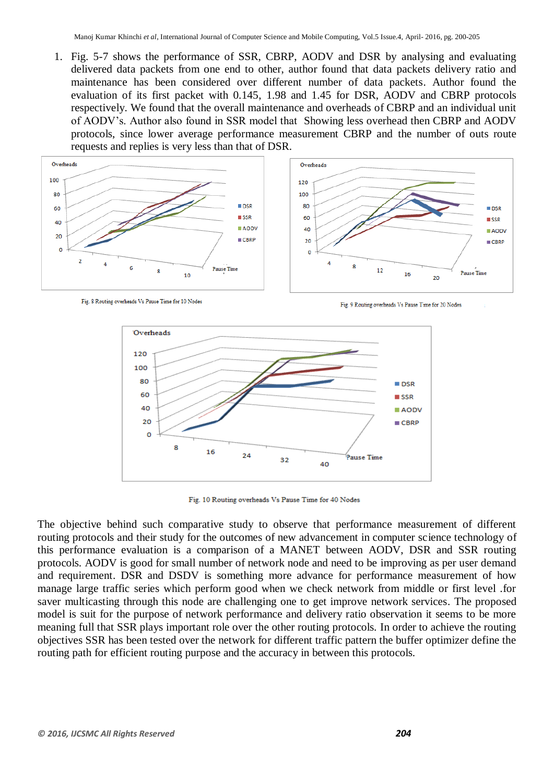1. Fig. 5-7 shows the performance of SSR, CBRP, AODV and DSR by analysing and evaluating delivered data packets from one end to other, author found that data packets delivery ratio and maintenance has been considered over different number of data packets. Author found the evaluation of its first packet with 0.145, 1.98 and 1.45 for DSR, AODV and CBRP protocols respectively. We found that the overall maintenance and overheads of CBRP and an individual unit of AODV"s. Author also found in SSR model that Showing less overhead then CBRP and AODV protocols, since lower average performance measurement CBRP and the number of outs route requests and replies is very less than that of DSR.



Fig. 8 Routing overheads Vs Pause Time for 10 Nodes

Fig. 9 Routing overheads Vs Pause Time for 20 Nodes



Fig. 10 Routing overheads Vs Pause Time for 40 Nodes

The objective behind such comparative study to observe that performance measurement of different routing protocols and their study for the outcomes of new advancement in computer science technology of this performance evaluation is a comparison of a MANET between AODV, DSR and SSR routing protocols. AODV is good for small number of network node and need to be improving as per user demand and requirement. DSR and DSDV is something more advance for performance measurement of how manage large traffic series which perform good when we check network from middle or first level .for saver multicasting through this node are challenging one to get improve network services. The proposed model is suit for the purpose of network performance and delivery ratio observation it seems to be more meaning full that SSR plays important role over the other routing protocols. In order to achieve the routing objectives SSR has been tested over the network for different traffic pattern the buffer optimizer define the routing path for efficient routing purpose and the accuracy in between this protocols.